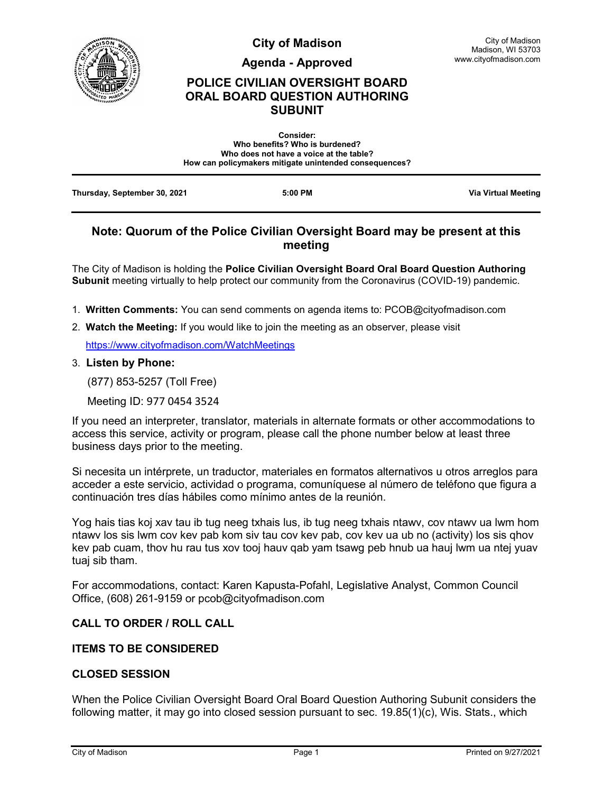

**City of Madison**

**Agenda - Approved**

# **POLICE CIVILIAN OVERSIGHT BOARD ORAL BOARD QUESTION AUTHORING SUBUNIT**

| <b>Consider:</b>                                       |  |
|--------------------------------------------------------|--|
| Who benefits? Who is burdened?                         |  |
| Who does not have a voice at the table?                |  |
| How can policymakers mitigate unintended consequences? |  |
|                                                        |  |
|                                                        |  |

**Thursday, September 30, 2021 5:00 PM Via Virtual Meeting**

# **Note: Quorum of the Police Civilian Oversight Board may be present at this meeting**

The City of Madison is holding the **Police Civilian Oversight Board Oral Board Question Authoring Subunit** meeting virtually to help protect our community from the Coronavirus (COVID-19) pandemic.

- 1. **Written Comments:** You can send comments on agenda items to: PCOB@cityofmadison.com
- 2. **Watch the Meeting:** If you would like to join the meeting as an observer, please visit

<https://www.cityofmadison.com/WatchMeetings>

#### 3. **Listen by Phone:**

(877) 853-5257 (Toll Free)

Meeting ID: 977 0454 3524

If you need an interpreter, translator, materials in alternate formats or other accommodations to access this service, activity or program, please call the phone number below at least three business days prior to the meeting.

Si necesita un intérprete, un traductor, materiales en formatos alternativos u otros arreglos para acceder a este servicio, actividad o programa, comuníquese al número de teléfono que figura a continuación tres días hábiles como mínimo antes de la reunión.

Yog hais tias koj xav tau ib tug neeg txhais lus, ib tug neeg txhais ntawv, cov ntawv ua lwm hom ntawv los sis lwm cov kev pab kom siv tau cov kev pab, cov kev ua ub no (activity) los sis qhov kev pab cuam, thov hu rau tus xov tooj hauv qab yam tsawg peb hnub ua hauj lwm ua ntej yuav tuaj sib tham.

For accommodations, contact: Karen Kapusta-Pofahl, Legislative Analyst, Common Council Office, (608) 261-9159 or pcob@cityofmadison.com

### **CALL TO ORDER / ROLL CALL**

#### **ITEMS TO BE CONSIDERED**

### **CLOSED SESSION**

When the Police Civilian Oversight Board Oral Board Question Authoring Subunit considers the following matter, it may go into closed session pursuant to sec. 19.85(1)(c), Wis. Stats., which